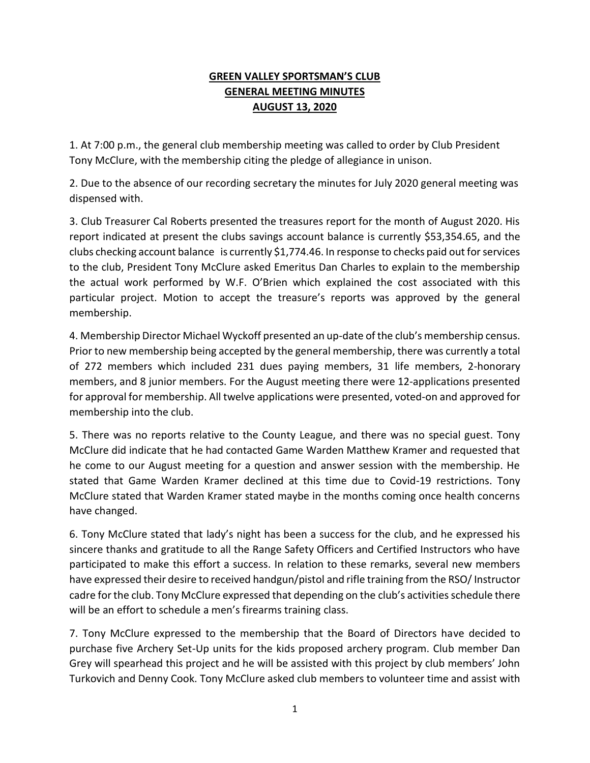## **GREEN VALLEY SPORTSMAN'S CLUB GENERAL MEETING MINUTES AUGUST 13, 2020**

1. At 7:00 p.m., the general club membership meeting was called to order by Club President Tony McClure, with the membership citing the pledge of allegiance in unison.

2. Due to the absence of our recording secretary the minutes for July 2020 general meeting was dispensed with.

3. Club Treasurer Cal Roberts presented the treasures report for the month of August 2020. His report indicated at present the clubs savings account balance is currently \$53,354.65, and the clubs checking account balance is currently \$1,774.46. In response to checks paid out for services to the club, President Tony McClure asked Emeritus Dan Charles to explain to the membership the actual work performed by W.F. O'Brien which explained the cost associated with this particular project. Motion to accept the treasure's reports was approved by the general membership.

4. Membership Director Michael Wyckoff presented an up-date of the club's membership census. Prior to new membership being accepted by the general membership, there was currently a total of 272 members which included 231 dues paying members, 31 life members, 2-honorary members, and 8 junior members. For the August meeting there were 12-applications presented for approval for membership. All twelve applications were presented, voted-on and approved for membership into the club.

5. There was no reports relative to the County League, and there was no special guest. Tony McClure did indicate that he had contacted Game Warden Matthew Kramer and requested that he come to our August meeting for a question and answer session with the membership. He stated that Game Warden Kramer declined at this time due to Covid-19 restrictions. Tony McClure stated that Warden Kramer stated maybe in the months coming once health concerns have changed.

6. Tony McClure stated that lady's night has been a success for the club, and he expressed his sincere thanks and gratitude to all the Range Safety Officers and Certified Instructors who have participated to make this effort a success. In relation to these remarks, several new members have expressed their desire to received handgun/pistol and rifle training from the RSO/Instructor cadre for the club. Tony McClure expressed that depending on the club's activities schedule there will be an effort to schedule a men's firearms training class.

7. Tony McClure expressed to the membership that the Board of Directors have decided to purchase five Archery Set-Up units for the kids proposed archery program. Club member Dan Grey will spearhead this project and he will be assisted with this project by club members' John Turkovich and Denny Cook. Tony McClure asked club members to volunteer time and assist with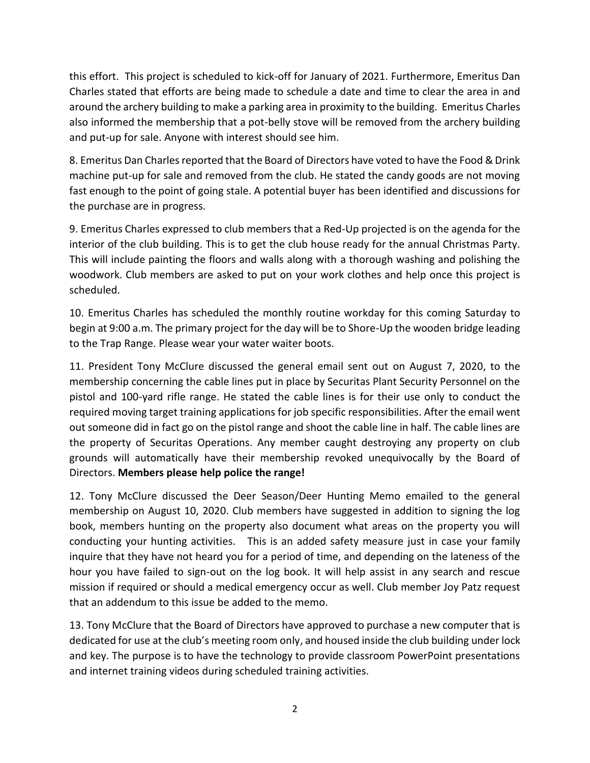this effort. This project is scheduled to kick-off for January of 2021. Furthermore, Emeritus Dan Charles stated that efforts are being made to schedule a date and time to clear the area in and around the archery building to make a parking area in proximity to the building. Emeritus Charles also informed the membership that a pot-belly stove will be removed from the archery building and put-up for sale. Anyone with interest should see him.

8. Emeritus Dan Charles reported that the Board of Directors have voted to have the Food & Drink machine put-up for sale and removed from the club. He stated the candy goods are not moving fast enough to the point of going stale. A potential buyer has been identified and discussions for the purchase are in progress.

9. Emeritus Charles expressed to club members that a Red-Up projected is on the agenda for the interior of the club building. This is to get the club house ready for the annual Christmas Party. This will include painting the floors and walls along with a thorough washing and polishing the woodwork. Club members are asked to put on your work clothes and help once this project is scheduled.

10. Emeritus Charles has scheduled the monthly routine workday for this coming Saturday to begin at 9:00 a.m. The primary project for the day will be to Shore-Up the wooden bridge leading to the Trap Range. Please wear your water waiter boots.

11. President Tony McClure discussed the general email sent out on August 7, 2020, to the membership concerning the cable lines put in place by Securitas Plant Security Personnel on the pistol and 100-yard rifle range. He stated the cable lines is for their use only to conduct the required moving target training applications for job specific responsibilities. After the email went out someone did in fact go on the pistol range and shoot the cable line in half. The cable lines are the property of Securitas Operations. Any member caught destroying any property on club grounds will automatically have their membership revoked unequivocally by the Board of Directors. **Members please help police the range!**

12. Tony McClure discussed the Deer Season/Deer Hunting Memo emailed to the general membership on August 10, 2020. Club members have suggested in addition to signing the log book, members hunting on the property also document what areas on the property you will conducting your hunting activities. This is an added safety measure just in case your family inquire that they have not heard you for a period of time, and depending on the lateness of the hour you have failed to sign-out on the log book. It will help assist in any search and rescue mission if required or should a medical emergency occur as well. Club member Joy Patz request that an addendum to this issue be added to the memo.

13. Tony McClure that the Board of Directors have approved to purchase a new computer that is dedicated for use at the club's meeting room only, and housed inside the club building under lock and key. The purpose is to have the technology to provide classroom PowerPoint presentations and internet training videos during scheduled training activities.